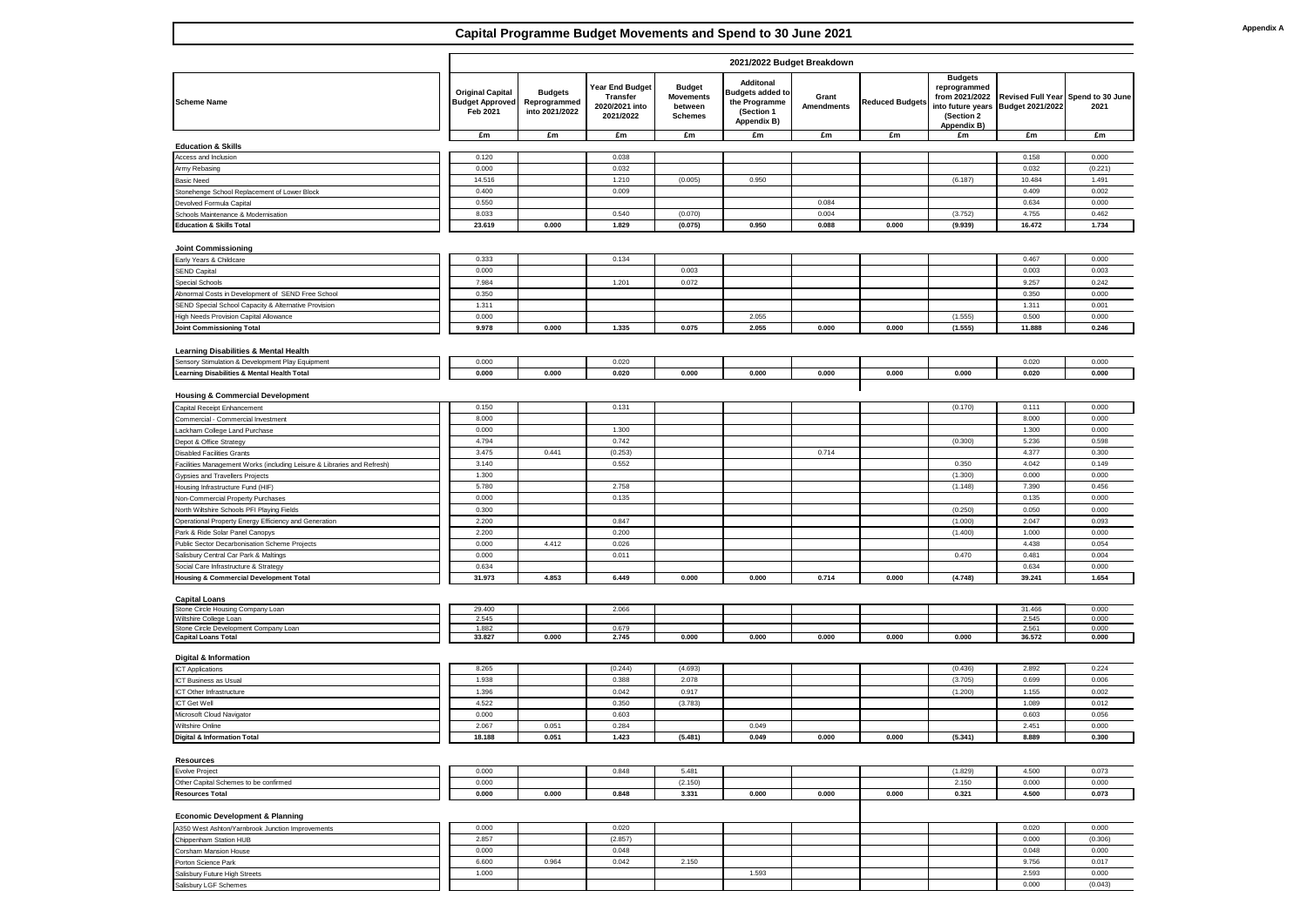## **Capital Programme Budget Movements and Spend to 30 June 2021**

|                                                                                            | 2021/2022 Budget Breakdown                                    |                                                  |                                                            |                                                                |                                                                                    |                            |                 |                                                                                |                                                                          |                  |
|--------------------------------------------------------------------------------------------|---------------------------------------------------------------|--------------------------------------------------|------------------------------------------------------------|----------------------------------------------------------------|------------------------------------------------------------------------------------|----------------------------|-----------------|--------------------------------------------------------------------------------|--------------------------------------------------------------------------|------------------|
| <b>Scheme Name</b>                                                                         | <b>Original Capital</b><br><b>Budget Approved</b><br>Feb 2021 | <b>Budgets</b><br>Reprogrammed<br>into 2021/2022 | Year End Budget<br>Transfer<br>2020/2021 into<br>2021/2022 | <b>Budget</b><br><b>Movements</b><br>between<br><b>Schemes</b> | Additonal<br><b>Budgets added to</b><br>the Programme<br>(Section 1<br>Appendix B) | Grant<br><b>Amendments</b> | Reduced Budgets | <b>Budgets</b><br>reprogrammed<br>from 2021/2022<br>(Section 2)<br>Appendix B) | Revised Full Year Spend to 30 June<br>into future years Budget 2021/2022 | 2021             |
|                                                                                            | £m                                                            | £m                                               | £m                                                         | £m                                                             | Em                                                                                 | £m                         | £m              | £m                                                                             | £m                                                                       | £m               |
| <b>Education &amp; Skills</b>                                                              |                                                               |                                                  |                                                            |                                                                |                                                                                    |                            |                 |                                                                                |                                                                          |                  |
| Access and Inclusion                                                                       | 0.120<br>0.000                                                |                                                  | 0.038<br>0.032                                             |                                                                |                                                                                    |                            |                 |                                                                                | 0.158<br>0.032                                                           | 0.000<br>(0.221) |
| Army Rebasing<br><b>Basic Need</b>                                                         | 14.516                                                        |                                                  | 1.210                                                      | (0.005)                                                        | 0.950                                                                              |                            |                 | (6.187)                                                                        | 10.484                                                                   | 1.491            |
| Stonehenge School Replacement of Lower Block                                               | 0.400                                                         |                                                  | 0.009                                                      |                                                                |                                                                                    |                            |                 |                                                                                | 0.409                                                                    | 0.002            |
| Devolved Formula Capital                                                                   | 0.550                                                         |                                                  |                                                            |                                                                |                                                                                    | 0.084                      |                 |                                                                                | 0.634                                                                    | 0.000            |
| Schools Maintenance & Modernisation                                                        | 8.033                                                         |                                                  | 0.540                                                      | (0.070)                                                        |                                                                                    | 0.004                      |                 | (3.752)                                                                        | 4.755                                                                    | 0.462            |
| <b>Education &amp; Skills Total</b>                                                        | 23.619                                                        | 0.000                                            | 1.829                                                      | (0.075)                                                        | 0.950                                                                              | 0.088                      | 0.000           | (9.939)                                                                        | 16.472                                                                   | 1.734            |
|                                                                                            |                                                               |                                                  |                                                            |                                                                |                                                                                    |                            |                 |                                                                                |                                                                          |                  |
| <b>Joint Commissioning</b>                                                                 |                                                               |                                                  |                                                            |                                                                |                                                                                    |                            |                 |                                                                                |                                                                          |                  |
| Early Years & Childcare                                                                    | 0.333                                                         |                                                  | 0.134                                                      |                                                                |                                                                                    |                            |                 |                                                                                | 0.467                                                                    | 0.000            |
| <b>SEND Capital</b>                                                                        | 0.000                                                         |                                                  |                                                            | 0.003                                                          |                                                                                    |                            |                 |                                                                                | 0.003                                                                    | 0.003            |
| Special Schools                                                                            | 7.984                                                         |                                                  | 1.201                                                      | 0.072                                                          |                                                                                    |                            |                 |                                                                                | 9.257                                                                    | 0.242            |
| Abnormal Costs in Development of SEND Free School                                          | 0.350                                                         |                                                  |                                                            |                                                                |                                                                                    |                            |                 |                                                                                | 0.350                                                                    | 0.000            |
| SEND Special School Capacity & Alternative Provision                                       | 1.311                                                         |                                                  |                                                            |                                                                |                                                                                    |                            |                 |                                                                                | 1.311                                                                    | 0.001            |
| High Needs Provision Capital Allowance                                                     | 0.000                                                         |                                                  |                                                            |                                                                | 2.055                                                                              |                            |                 | (1.555)                                                                        | 0.500                                                                    | 0.000            |
| Joint Commissioning Total                                                                  | 9.978                                                         | 0.000                                            | 1.335                                                      | 0.075                                                          | 2.055                                                                              | 0.000                      | 0.000           | (1.555)                                                                        | 11.888                                                                   | 0.246            |
| <b>Learning Disabilities &amp; Mental Health</b>                                           |                                                               |                                                  |                                                            |                                                                |                                                                                    |                            |                 |                                                                                |                                                                          |                  |
| Sensory Stimulation & Development Play Equipment                                           | 0.000                                                         |                                                  | 0.020                                                      |                                                                |                                                                                    |                            |                 |                                                                                | 0.020                                                                    | 0.000            |
| Learning Disabilities & Mental Health Total                                                | 0.000                                                         | 0.000                                            | 0.020                                                      | 0.000                                                          | 0.000                                                                              | 0.000                      | 0.000           | 0.000                                                                          | 0.020                                                                    | 0.000            |
|                                                                                            |                                                               |                                                  |                                                            |                                                                |                                                                                    |                            |                 |                                                                                |                                                                          |                  |
| <b>Housing &amp; Commercial Development</b>                                                |                                                               |                                                  |                                                            |                                                                |                                                                                    |                            |                 |                                                                                |                                                                          |                  |
| Capital Receipt Enhancement                                                                | 0.150                                                         |                                                  | 0.131                                                      |                                                                |                                                                                    |                            |                 | (0.170)                                                                        | 0.111                                                                    | 0.000            |
| Commercial - Commercial Investment                                                         | 8.000                                                         |                                                  |                                                            |                                                                |                                                                                    |                            |                 |                                                                                | 8.000                                                                    | 0.000            |
| ackham College Land Purchase                                                               | 0.000                                                         |                                                  | 1.300                                                      |                                                                |                                                                                    |                            |                 |                                                                                | 1.300                                                                    | 0.000            |
| Depot & Office Strategy                                                                    | 4.794                                                         |                                                  | 0.742                                                      |                                                                |                                                                                    |                            |                 | (0.300)                                                                        | 5.236                                                                    | 0.598            |
| <b>Disabled Facilities Grants</b>                                                          | 3.475                                                         | 0.441                                            | (0.253)                                                    |                                                                |                                                                                    | 0.714                      |                 |                                                                                | 4.377                                                                    | 0.300            |
| Facilities Management Works (including Leisure & Libraries and Refresh)                    | 3.140                                                         |                                                  | 0.552                                                      |                                                                |                                                                                    |                            |                 | 0.350                                                                          | 4.042                                                                    | 0.149            |
| Gypsies and Travellers Projects                                                            | 1.300                                                         |                                                  |                                                            |                                                                |                                                                                    |                            |                 | (1.300)                                                                        | 0.000                                                                    | 0.000            |
| Housing Infrastructure Fund (HIF)                                                          | 5.780                                                         |                                                  | 2.758                                                      |                                                                |                                                                                    |                            |                 | (1.148)                                                                        | 7.390                                                                    | 0.456            |
| Non-Commercial Property Purchases                                                          | 0.000                                                         |                                                  | 0.135                                                      |                                                                |                                                                                    |                            |                 |                                                                                | 0.135                                                                    | 0.000            |
| North Wiltshire Schools PFI Playing Fields                                                 | 0.300                                                         |                                                  |                                                            |                                                                |                                                                                    |                            |                 | (0.250)                                                                        | 0.050                                                                    | 0.000            |
| Operational Property Energy Efficiency and Generation                                      | 2.200                                                         |                                                  | 0.847                                                      |                                                                |                                                                                    |                            |                 | (1.000)                                                                        | 2.047                                                                    | 0.093            |
| Park & Ride Solar Panel Canopys                                                            | 2.200                                                         |                                                  | 0.200                                                      |                                                                |                                                                                    |                            |                 | (1.400)                                                                        | 1.000                                                                    | 0.000            |
| Public Sector Decarbonisation Scheme Projects                                              | 0.000<br>0.000                                                | 4.412                                            | 0.026<br>0.011                                             |                                                                |                                                                                    |                            |                 | 0.470                                                                          | 4.438<br>0.481                                                           | 0.054<br>0.004   |
| Salisbury Central Car Park & Maltings                                                      | 0.634                                                         |                                                  |                                                            |                                                                |                                                                                    |                            |                 |                                                                                | 0.634                                                                    | 0.000            |
| Social Care Infrastructure & Strategy<br><b>Housing &amp; Commercial Development Total</b> | 31.973                                                        | 4.853                                            | 6.449                                                      | 0.000                                                          | 0.000                                                                              | 0.714                      | 0.000           | (4.748)                                                                        | 39.241                                                                   | 1.654            |
|                                                                                            |                                                               |                                                  |                                                            |                                                                |                                                                                    |                            |                 |                                                                                |                                                                          |                  |
| <b>Capital Loans</b>                                                                       |                                                               |                                                  |                                                            |                                                                |                                                                                    |                            |                 |                                                                                |                                                                          |                  |
| Stone Circle Housing Company Loan                                                          | 29.400                                                        |                                                  | 2.066                                                      |                                                                |                                                                                    |                            |                 |                                                                                | 31.466                                                                   | 0.000            |
| Wiltshire College Loan                                                                     | 2.545                                                         |                                                  |                                                            |                                                                |                                                                                    |                            |                 |                                                                                | 2.545                                                                    | 0.000            |
| Stone Circle Development Company Loan<br><b>Capital Loans Total</b>                        | 1.882<br>33.827                                               | 0.000                                            | 0.679<br>2.745                                             | 0.000                                                          | 0.000                                                                              | 0.000                      | 0.000           | 0.000                                                                          | 2.561<br>36.572                                                          | 0.000<br>0.000   |
|                                                                                            |                                                               |                                                  |                                                            |                                                                |                                                                                    |                            |                 |                                                                                |                                                                          |                  |
| <b>Digital &amp; Information</b>                                                           |                                                               |                                                  |                                                            |                                                                |                                                                                    |                            |                 |                                                                                |                                                                          |                  |
| <b>ICT Applications</b>                                                                    | 8.265                                                         |                                                  | (0.244)                                                    | (4.693)                                                        |                                                                                    |                            |                 | (0.436)                                                                        | 2.892                                                                    | 0.224            |
| ICT Business as Usual                                                                      | 1.938                                                         |                                                  | 0.388                                                      | 2.078                                                          |                                                                                    |                            |                 | (3.705)                                                                        | 0.699                                                                    | 0.006            |
| CT Other Infrastructure                                                                    | 1.396                                                         |                                                  | 0.042                                                      | 0.917                                                          |                                                                                    |                            |                 | (1.200)                                                                        | 1.155                                                                    | 0.002            |
| ICT Get Well                                                                               | 4.522                                                         |                                                  | 0.350                                                      | (3.783)                                                        |                                                                                    |                            |                 |                                                                                | 1.089                                                                    | 0.012            |
| Microsoft Cloud Navigator                                                                  | 0.000                                                         |                                                  | 0.603                                                      |                                                                |                                                                                    |                            |                 |                                                                                | 0.603                                                                    | 0.056            |
| Wiltshire Online                                                                           | 2.067                                                         | 0.051                                            | 0.284                                                      |                                                                | 0.049                                                                              |                            |                 |                                                                                | 2.451                                                                    | 0.000            |
| <b>Digital &amp; Information Total</b>                                                     | 18.188                                                        | 0.051                                            | 1.423                                                      | (5.481)                                                        | 0.049                                                                              | 0.000                      | 0.000           | (5.341)                                                                        | 8.889                                                                    | 0.300            |
| <b>Resources</b>                                                                           |                                                               |                                                  |                                                            |                                                                |                                                                                    |                            |                 |                                                                                |                                                                          |                  |
| Evolve Project                                                                             | 0.000                                                         |                                                  | 0.848                                                      | 5.481                                                          |                                                                                    |                            |                 | (1.829)                                                                        | 4.500                                                                    | 0.073            |
| Other Capital Schemes to be confirmed                                                      | 0.000                                                         |                                                  |                                                            | (2.150)                                                        |                                                                                    |                            |                 | 2.150                                                                          | 0.000                                                                    | 0.000            |
| <b>Resources Total</b>                                                                     | 0.000                                                         | 0.000                                            | 0.848                                                      | 3.331                                                          | 0.000                                                                              | 0.000                      | 0.000           | 0.321                                                                          | 4.500                                                                    | 0.073            |
| <b>Economic Development &amp; Planning</b>                                                 |                                                               |                                                  |                                                            |                                                                |                                                                                    |                            |                 |                                                                                |                                                                          |                  |
| A350 West Ashton/Yarnbrook Junction Improvements                                           | 0.000                                                         |                                                  | 0.020                                                      |                                                                |                                                                                    |                            |                 |                                                                                | 0.020                                                                    | 0.000            |
| Chippenham Station HUB                                                                     | 2.857                                                         |                                                  | (2.857)                                                    |                                                                |                                                                                    |                            |                 |                                                                                | 0.000                                                                    | (0.306)          |
| Corsham Mansion House                                                                      | 0.000                                                         |                                                  | 0.048                                                      |                                                                |                                                                                    |                            |                 |                                                                                | 0.048                                                                    | 0.000            |
| Porton Science Park                                                                        | 6.600                                                         | 0.964                                            | 0.042                                                      | 2.150                                                          |                                                                                    |                            |                 |                                                                                | 9.756                                                                    | 0.017            |
| Salisbury Future High Streets                                                              | 1.000                                                         |                                                  |                                                            |                                                                | 1.593                                                                              |                            |                 |                                                                                | 2.593                                                                    | 0.000            |
| Salisbury LGF Schemes                                                                      |                                                               |                                                  |                                                            |                                                                |                                                                                    |                            |                 |                                                                                | 0.000                                                                    | (0.043)          |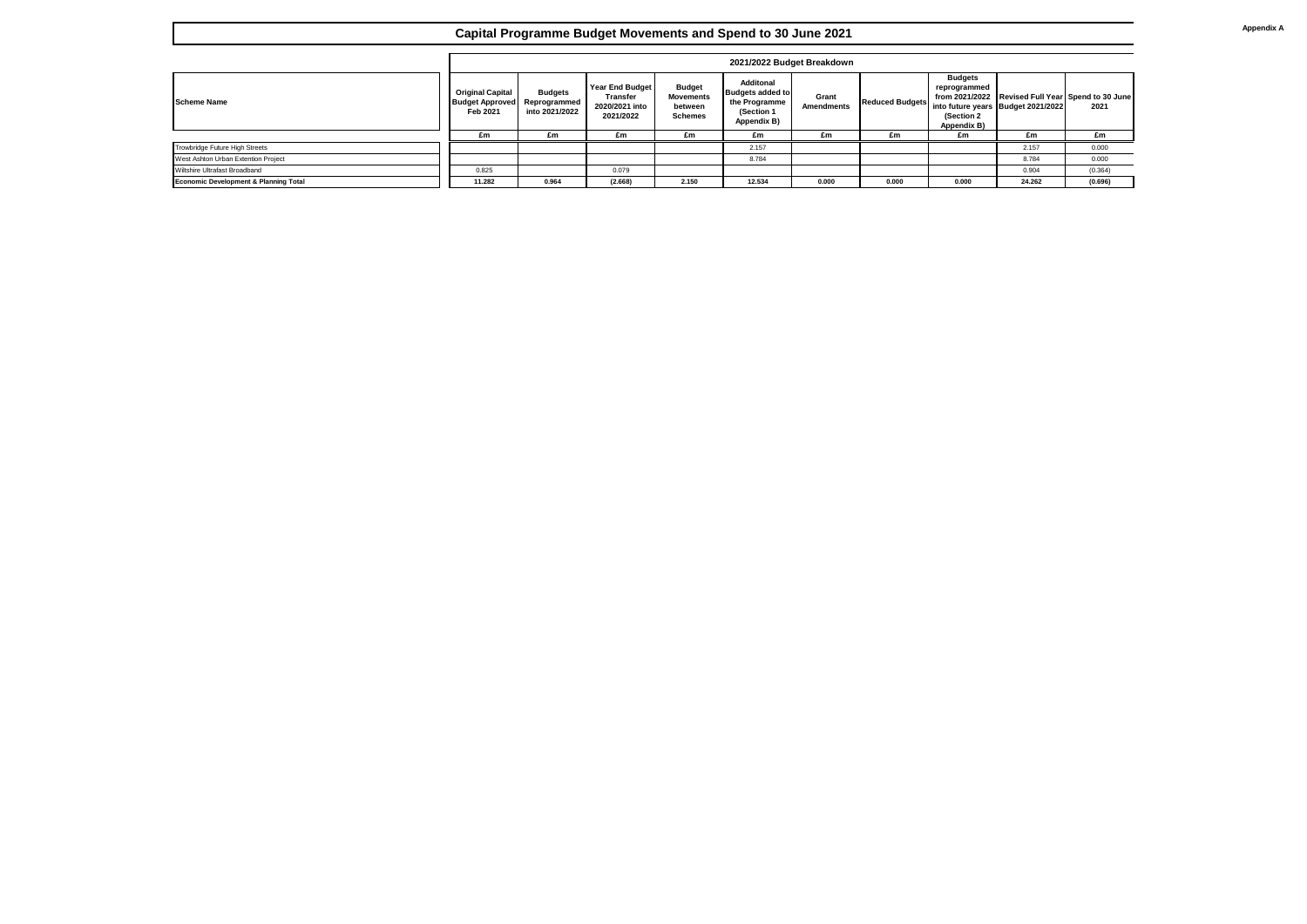## **Capital Programme Budget Movements and Spend to 30 June 2021**

|                                                  |                                                               | 2021/2022 Budget Breakdown                       |                                                            |                                                                |                                                                                    |                            |                        |                                                             |                                                                                         |         |  |  |
|--------------------------------------------------|---------------------------------------------------------------|--------------------------------------------------|------------------------------------------------------------|----------------------------------------------------------------|------------------------------------------------------------------------------------|----------------------------|------------------------|-------------------------------------------------------------|-----------------------------------------------------------------------------------------|---------|--|--|
| <b>Scheme Name</b>                               | <b>Original Capital</b><br><b>Budget Approved</b><br>Feb 2021 | <b>Budgets</b><br>Reprogrammed<br>into 2021/2022 | Year End Budget<br>Transfer<br>2020/2021 into<br>2021/2022 | <b>Budget</b><br><b>Movements</b><br>between<br><b>Schemes</b> | Additonal<br><b>Budgets added to</b><br>the Programme<br>(Section 1<br>Appendix B) | Grant<br><b>Amendments</b> | <b>Reduced Budgets</b> | <b>Budgets</b><br>reprogrammed<br>(Section 2<br>Appendix B) | from 2021/2022 Revised Full Year Spend to 30 June<br>into future years Budget 2021/2022 | 2021    |  |  |
|                                                  | £m                                                            | £m                                               | £m                                                         | £m                                                             | £m                                                                                 | £m                         | £m                     | £m                                                          | £m                                                                                      | £m      |  |  |
| Trowbridge Future High Streets                   |                                                               |                                                  |                                                            |                                                                | 2.157                                                                              |                            |                        |                                                             | 2.157                                                                                   | 0.000   |  |  |
| West Ashton Urban Extention Project              |                                                               |                                                  |                                                            |                                                                | 8.784                                                                              |                            |                        |                                                             | 8.784                                                                                   | 0.000   |  |  |
| Wiltshire Ultrafast Broadband                    | 0.825                                                         |                                                  | 0.079                                                      |                                                                |                                                                                    |                            |                        |                                                             | 0.904                                                                                   | (0.364) |  |  |
| <b>Economic Development &amp; Planning Total</b> | 11.282                                                        | 0.964                                            | (2.668)                                                    | 2.150                                                          | 12.534                                                                             | 0.000                      | 0.000                  | 0.000                                                       | 24.262                                                                                  | (0.696) |  |  |